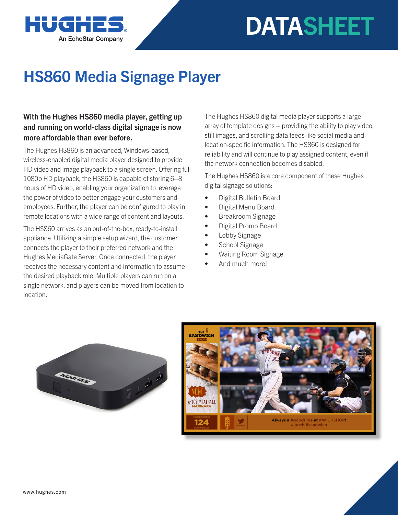

## **DATASHEET**

## HS860 Media Signage Player

## With the Hughes HS860 media player, getting up and running on world-class digital signage is now more affordable than ever before.

The Hughes HS860 is an advanced, Windows-based, wireless-enabled digital media player designed to provide HD video and image playback to a single screen. Offering full 1080p HD playback, the HS860 is capable of storing 6–8 hours of HD video, enabling your organization to leverage the power of video to better engage your customers and employees. Further, the player can be configured to play in remote locations with a wide range of content and layouts.

The HS860 arrives as an out-of-the-box, ready-to-install appliance. Utilizing a simple setup wizard, the customer connects the player to their preferred network and the Hughes MediaGate Server. Once connected, the player receives the necessary content and information to assume the desired playback role. Multiple players can run on a single network, and players can be moved from location to location.

The Hughes HS860 digital media player supports a large array of template designs – providing the ability to play video, still images, and scrolling data feeds like social media and location-specific information. The HS860 is designed for reliability and will continue to play assigned content, even if the network connection becomes disabled.

The Hughes HS860 is a core component of these Hughes digital signage solutions:

- Digital Bulletin Board
- Digital Menu Board
- Breakroom Signage
- Digital Promo Board
- Lobby Signage
- School Signage
- Waiting Room Signage
- And much more!